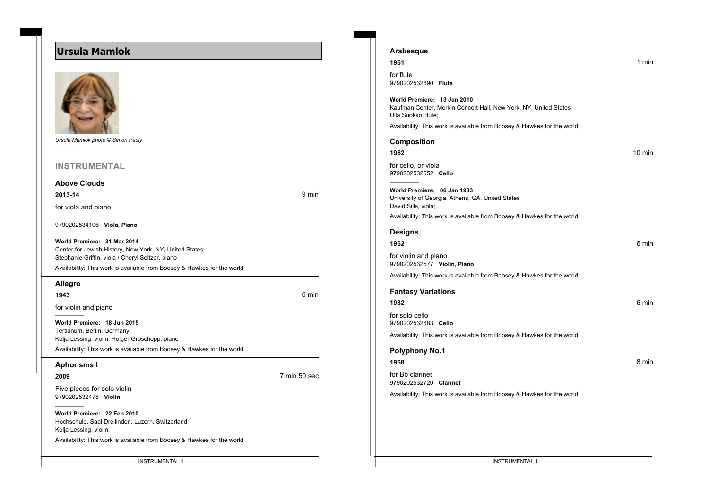# **Ursula Mamlok**



*Ursula Mamlok photo © Simon Pauly*

#### **INSTRUMENTAL**

#### **Above Clouds**

**2013-14** 9 min

for viola and piano

9790202534106 **Viola, Piano**

**World Premiere: 31 Mar 2014** Center for Jewish History, New York, NY, United States Stephanie Griffin, viola / Cheryl Seltzer, piano

Availability: This work is available from Boosey & Hawkes for the world

#### **Allegro**

**1943** 6 min

for violin and piano

**World Premiere: 18 Jun 2015** Tertianum, Berlin, Germany Kolja Lessing, violin; Holger Groschopp, piano Availability: This work is available from Boosey & Hawkes for the world

#### **Aphorisms I**

### **2009** 7 min 50 sec

Five pieces for solo violin 9790202532478 **Violin**

**World Premiere: 22 Feb 2010** Hochschule, Saal Dreilinden, Luzern, Switzerland Kolja Lessing, violin;

Availability: This work is available from Boosey & Hawkes for the world

| 1961                                                                    | 1 min            |
|-------------------------------------------------------------------------|------------------|
| for flute                                                               |                  |
| 9790202532690 Flute                                                     |                  |
| World Premiere: 13 Jan 2010                                             |                  |
| Kaufman Center, Merkin Concert Hall, New York, NY, United States        |                  |
| Ulla Suokko, flute;                                                     |                  |
| Availability: This work is available from Boosey & Hawkes for the world |                  |
| <b>Composition</b>                                                      |                  |
| 1962                                                                    | $10 \text{ min}$ |
| for cello, or viola                                                     |                  |
| 9790202532652 Cello                                                     |                  |
|                                                                         |                  |
| World Premiere: 06 Jan 1983                                             |                  |
| University of Georgia, Athens, GA, United States<br>David Sills, viola; |                  |
| Availability: This work is available from Boosey & Hawkes for the world |                  |
| <b>Designs</b>                                                          |                  |
|                                                                         |                  |
| 1962                                                                    | 6 min            |
| for violin and piano                                                    |                  |
| 9790202532577 Violin, Piano                                             |                  |
| Availability: This work is available from Boosey & Hawkes for the world |                  |

**Arabesque**

## **Fantasy Variations 1982** 6 min for solo cello 9790202532683 **Cello** Availability: This work is available from Boosey & Hawkes for the world

#### **Polyphony No.1**

**1968** 8 min

for Bb clarinet 9790202532720 **Clarinet**

Availability: This work is available from Boosey & Hawkes for the world

INSTRUMENTAL 1 INSTRUMENTAL 1